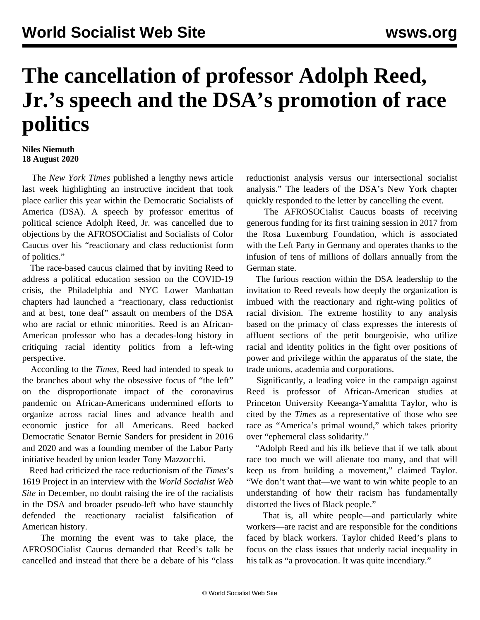## **The cancellation of professor Adolph Reed, Jr.'s speech and the DSA's promotion of race politics**

## **Niles Niemuth 18 August 2020**

 The *New York Times* published a lengthy news article last week highlighting an instructive incident that took place earlier this year within the Democratic Socialists of America (DSA). A speech by professor emeritus of political science Adolph Reed, Jr. was cancelled due to objections by the AFROSOCialist and Socialists of Color Caucus over his "reactionary and class reductionist form of politics."

 The race-based caucus claimed that by inviting Reed to address a political education session on the COVID-19 crisis, the Philadelphia and NYC Lower Manhattan chapters had launched a "reactionary, class reductionist and at best, tone deaf" assault on members of the DSA who are racial or ethnic minorities. Reed is an African-American professor who has a decades-long history in critiquing racial identity politics from a left-wing perspective.

 According to the *Times*, Reed had intended to speak to the branches about why the obsessive focus of "the left" on the disproportionate impact of the coronavirus pandemic on African-Americans undermined efforts to organize across racial lines and advance health and economic justice for all Americans. Reed backed Democratic Senator Bernie Sanders for president in 2016 and 2020 and was a founding member of the Labor Party initiative headed by union leader Tony Mazzocchi.

 Reed had criticized the race reductionism of the *Times*'s 1619 Project in an [interview](/en/articles/2019/12/20/reed-d20.html) with the *World Socialist Web Site* in December, no doubt raising the ire of the racialists in the DSA and broader pseudo-left who have staunchly defended the reactionary racialist falsification of American history.

 The morning the event was to take place, the AFROSOCialist Caucus [demanded](https://docs.google.com/document/d/1GnMhl9Mi1UKKbBdX2ygsbAOT9IBlzfrtlPmoxDtdJ5k/edit) that Reed's talk be cancelled and instead that there be a debate of his "class

reductionist analysis versus our intersectional socialist analysis." The leaders of the DSA's New York chapter quickly responded to the letter by cancelling the event.

 The AFROSOCialist Caucus boasts of receiving generous funding for its first training session in 2017 from the Rosa Luxemburg Foundation, which is associated with the Left Party in Germany and operates thanks to the infusion of tens of millions of dollars annually from the German state.

 The furious reaction within the DSA leadership to the invitation to Reed reveals how deeply the organization is imbued with the reactionary and right-wing politics of racial division. The extreme hostility to any analysis based on the primacy of class expresses the interests of affluent sections of the petit bourgeoisie, who utilize racial and identity politics in the fight over positions of power and privilege within the apparatus of the state, the trade unions, academia and corporations.

 Significantly, a leading voice in the campaign against Reed is professor of African-American studies at Princeton University Keeanga-Yamahtta Taylor, who is cited by the *Times* as a representative of those who see race as "America's primal wound," which takes priority over "ephemeral class solidarity."

 "Adolph Reed and his ilk believe that if we talk about race too much we will alienate too many, and that will keep us from building a movement," claimed Taylor. "We don't want that—we want to win white people to an understanding of how their racism has fundamentally distorted the lives of Black people."

 That is, all white people—and particularly white workers—are racist and are responsible for the conditions faced by black workers. Taylor chided Reed's plans to focus on the class issues that underly racial inequality in his talk as "a provocation. It was quite incendiary."